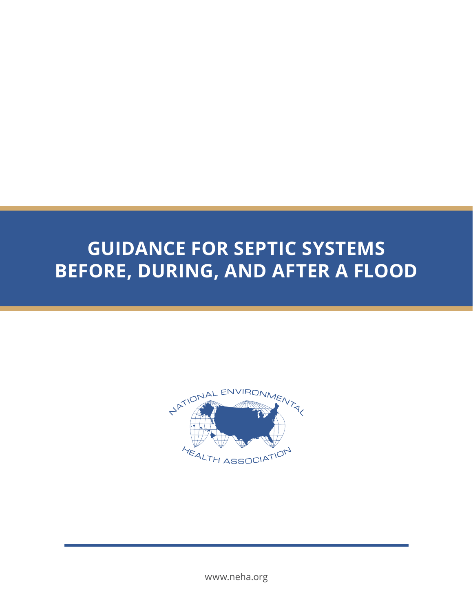# **GUIDANCE FOR SEPTIC SYSTEMS BEFORE, DURING, AND AFTER A FLOOD**



www.neha.org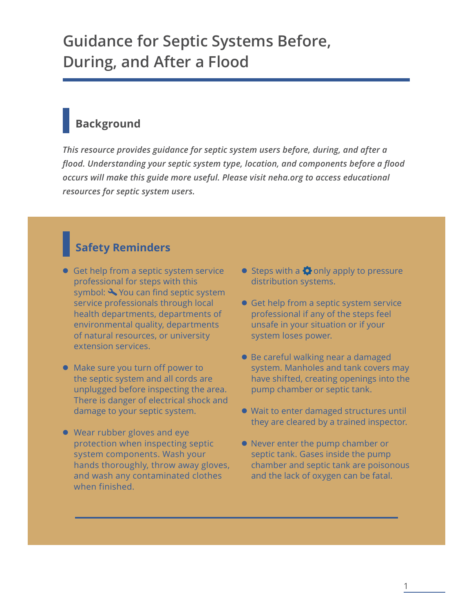## **Guidance for Septic Systems Before, During, and After a Flood**

### **Background**

*This resource provides guidance for septic system users before, during, and after a flood. Understanding your septic system type, location, and components before a flood occurs will make this guide more useful. Please visit neha.org to access educational resources for septic system users.*

### **Safety Reminders**

- **Get help from a septic system service** professional for steps with this symbol:  $\triangle$  You can find septic system service professionals through local health departments, departments of environmental quality, departments of natural resources, or university extension services.
- Make sure you turn off power to the septic system and all cords are unplugged before inspecting the area. There is danger of electrical shock and damage to your septic system.
- Wear rubber gloves and eye protection when inspecting septic system components. Wash your hands thoroughly, throw away gloves, and wash any contaminated clothes when finished.
- $\bullet$  Steps with a  $\bullet$  only apply to pressure distribution systems.
- **Get help from a septic system service** professional if any of the steps feel unsafe in your situation or if your system loses power.
- Be careful walking near a damaged system. Manholes and tank covers may have shifted, creating openings into the pump chamber or septic tank.
- Wait to enter damaged structures until they are cleared by a trained inspector.
- Never enter the pump chamber or septic tank. Gases inside the pump chamber and septic tank are poisonous and the lack of oxygen can be fatal.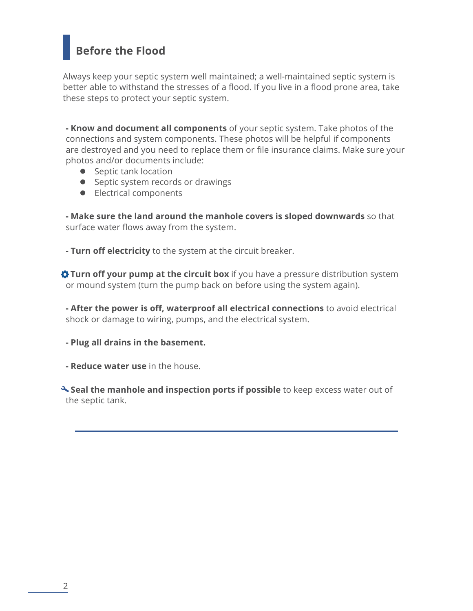### **Before the Flood**

Always keep your septic system well maintained; a well-maintained septic system is better able to withstand the stresses of a flood. If you live in a flood prone area, take these steps to protect your septic system.

**- Know and document all components** of your septic system. Take photos of the connections and system components. These photos will be helpful if components are destroyed and you need to replace them or file insurance claims. Make sure your photos and/or documents include:

- Septic tank location
- Septic system records or drawings
- Electrical components

**- Make sure the land around the manhole covers is sloped downwards** so that surface water flows away from the system.

**- Turn off electricity** to the system at the circuit breaker.

 $\triangle$  Turn off your pump at the circuit box if you have a pressure distribution system or mound system (turn the pump back on before using the system again).

**- After the power is off, waterproof all electrical connections** to avoid electrical shock or damage to wiring, pumps, and the electrical system.

**- Plug all drains in the basement.**

**- Reduce water use** in the house.

 $\triangle$  **Seal the manhole and inspection ports if possible** to keep excess water out of the septic tank.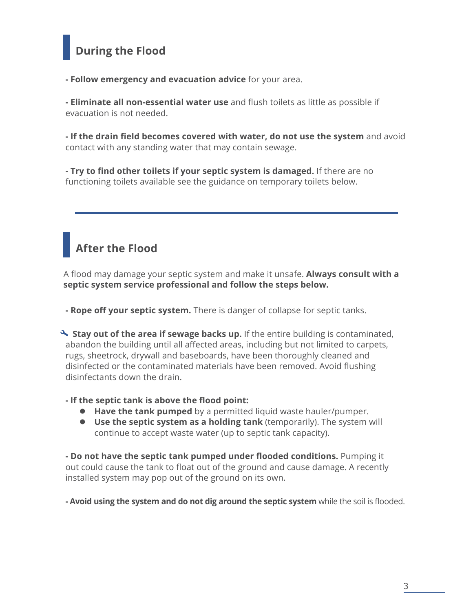### **During the Flood**

**- Follow emergency and evacuation advice** for your area.

**- Eliminate all non-essential water use** and flush toilets as little as possible if evacuation is not needed.

**- If the drain field becomes covered with water, do not use the system** and avoid contact with any standing water that may contain sewage.

**- Try to find other toilets if your septic system is damaged.** If there are no functioning toilets available see the guidance on temporary toilets below.

### **After the Flood**

A flood may damage your septic system and make it unsafe. **Always consult with a septic system service professional and follow the steps below.**

**- Rope off your septic system.** There is danger of collapse for septic tanks.

**Stay out of the area if sewage backs up.** If the entire building is contaminated, abandon the building until all affected areas, including but not limited to carpets, rugs, sheetrock, drywall and baseboards, have been thoroughly cleaned and disinfected or the contaminated materials have been removed. Avoid flushing disinfectants down the drain.

#### **- If the septic tank is above the flood point:**

- **Have the tank pumped** by a permitted liquid waste hauler/pumper.
- **Use the septic system as a holding tank** (temporarily). The system will continue to accept waste water (up to septic tank capacity).

**- Do not have the septic tank pumped under flooded conditions.** Pumping it out could cause the tank to float out of the ground and cause damage. A recently installed system may pop out of the ground on its own.

**- Avoid using the system and do not dig around the septic system** while the soil is flooded.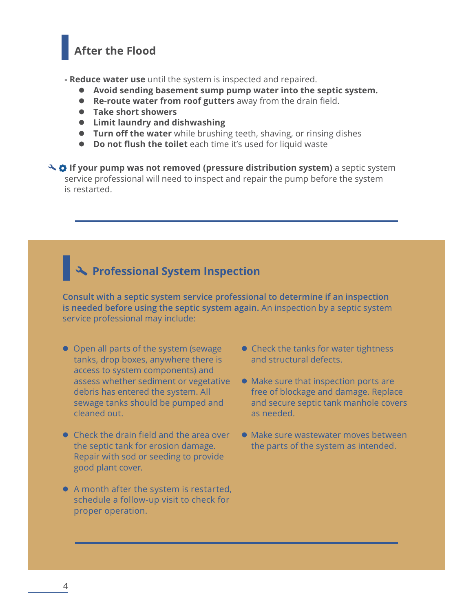### **After the Flood**

**- Reduce water use** until the system is inspected and repaired.

- **Avoid sending basement sump pump water into the septic system.**
- **Re-route water from roof gutters** away from the drain field.
- **Take short showers**
- **Limit laundry and dishwashing**
- **Turn off the water** while brushing teeth, shaving, or rinsing dishes
- **Do not flush the toilet** each time it's used for liquid waste

 $\rightarrow$  $\bullet$  **If your pump was not removed (pressure distribution system)** a septic system service professional will need to inspect and repair the pump before the system is restarted.

# **Professional System Inspection**

**Consult with a septic system service professional to determine if an inspection is needed before using the septic system again.** An inspection by a septic system service professional may include:

- Open all parts of the system (sewage tanks, drop boxes, anywhere there is access to system components) and assess whether sediment or vegetative debris has entered the system. All sewage tanks should be pumped and cleaned out.
- Check the drain field and the area over the septic tank for erosion damage. Repair with sod or seeding to provide good plant cover.
- A month after the system is restarted, schedule a follow-up visit to check for proper operation.
- Check the tanks for water tightness and structural defects.
- Make sure that inspection ports are free of blockage and damage. Replace and secure septic tank manhole covers as needed.
- Make sure wastewater moves between the parts of the system as intended.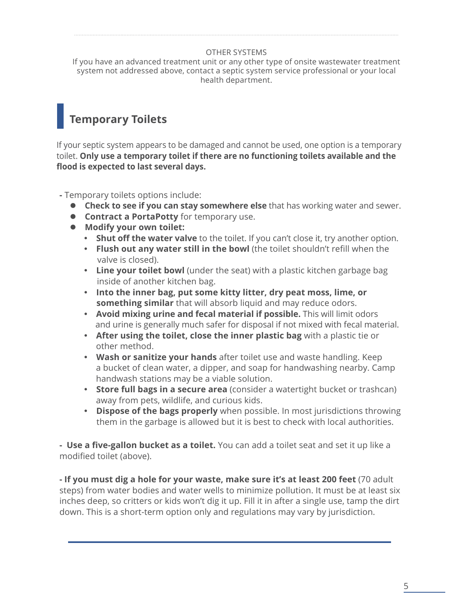#### OTHER SYSTEMS

If you have an advanced treatment unit or any other type of onsite wastewater treatment system not addressed above, contact a septic system service professional or your local health department.

### **Temporary Toilets**

If your septic system appears to be damaged and cannot be used, one option is a temporary toilet. **Only use a temporary toilet if there are no functioning toilets available and the flood is expected to last several days.**

**-** Temporary toilets options include:

- **Check to see if you can stay somewhere else** that has working water and sewer.
- **Contract a PortaPotty** for temporary use.
- **Modify your own toilet:**
	- **Shut off the water valve** to the toilet. If you can't close it, try another option.
	- **Flush out any water still in the bowl** (the toilet shouldn't refill when the valve is closed).
	- **Line your toilet bowl** (under the seat) with a plastic kitchen garbage bag inside of another kitchen bag.
	- **Into the inner bag, put some kitty litter, dry peat moss, lime, or something similar** that will absorb liquid and may reduce odors.
	- **Avoid mixing urine and fecal material if possible.** This will limit odors and urine is generally much safer for disposal if not mixed with fecal material.
	- **After using the toilet, close the inner plastic bag** with a plastic tie or other method.
	- **Wash or sanitize your hands** after toilet use and waste handling. Keep a bucket of clean water, a dipper, and soap for handwashing nearby. Camp handwash stations may be a viable solution.
	- **Store full bags in a secure area** (consider a watertight bucket or trashcan) away from pets, wildlife, and curious kids.
	- **Dispose of the bags properly** when possible. In most jurisdictions throwing them in the garbage is allowed but it is best to check with local authorities.

**- Use a five-gallon bucket as a toilet.** You can add a toilet seat and set it up like a modified toilet (above).

**- If you must dig a hole for your waste, make sure it's at least 200 feet** (70 adult steps) from water bodies and water wells to minimize pollution. It must be at least six inches deep, so critters or kids won't dig it up. Fill it in after a single use, tamp the dirt down. This is a short-term option only and regulations may vary by jurisdiction.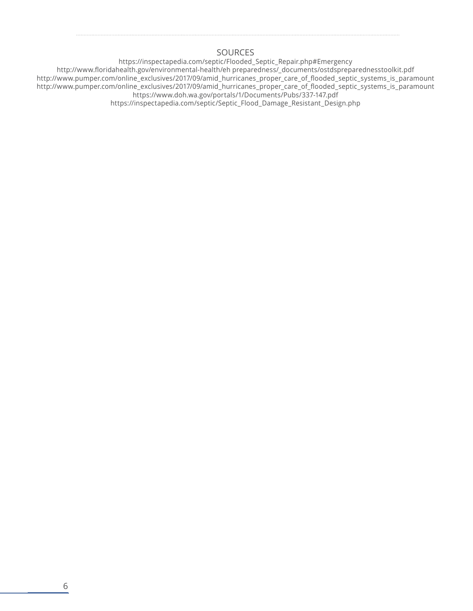#### **SOURCES**

https://inspectapedia.com/septic/Flooded\_Septic\_Repair.php#Emergency http://www.floridahealth.gov/environmental-health/eh preparedness/\_documents/ostdspreparednesstoolkit.pdf http://www.pumper.com/online\_exclusives/2017/09/amid\_hurricanes\_proper\_care\_of\_flooded\_septic\_systems\_is\_paramount http://www.pumper.com/online\_exclusives/2017/09/amid\_hurricanes\_proper\_care\_of\_flooded\_septic\_systems\_is\_paramount https://www.doh.wa.gov/portals/1/Documents/Pubs/337-147.pdf https://inspectapedia.com/septic/Septic\_Flood\_Damage\_Resistant\_Design.php